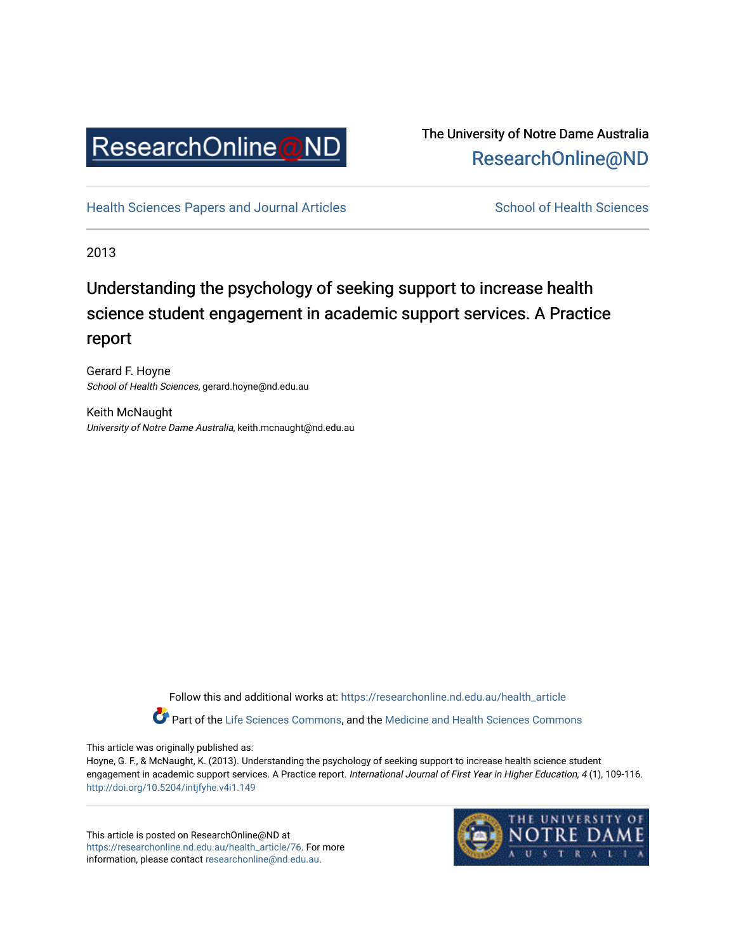

# The University of Notre Dame Australia [ResearchOnline@ND](https://researchonline.nd.edu.au/)

[Health Sciences Papers and Journal Articles](https://researchonline.nd.edu.au/health_article) School of Health Sciences

2013

# Understanding the psychology of seeking support to increase health science student engagement in academic support services. A Practice report

Gerard F. Hoyne School of Health Sciences, gerard.hoyne@nd.edu.au

Keith McNaught University of Notre Dame Australia, keith.mcnaught@nd.edu.au

> Follow this and additional works at: [https://researchonline.nd.edu.au/health\\_article](https://researchonline.nd.edu.au/health_article?utm_source=researchonline.nd.edu.au%2Fhealth_article%2F76&utm_medium=PDF&utm_campaign=PDFCoverPages) Part of the [Life Sciences Commons](http://network.bepress.com/hgg/discipline/1016?utm_source=researchonline.nd.edu.au%2Fhealth_article%2F76&utm_medium=PDF&utm_campaign=PDFCoverPages), and the Medicine and Health Sciences Commons

This article was originally published as:

Hoyne, G. F., & McNaught, K. (2013). Understanding the psychology of seeking support to increase health science student engagement in academic support services. A Practice report. International Journal of First Year in Higher Education, 4 (1), 109-116. <http://doi.org/10.5204/intjfyhe.v4i1.149>

This article is posted on ResearchOnline@ND at [https://researchonline.nd.edu.au/health\\_article/76.](https://researchonline.nd.edu.au/health_article/76) For more information, please contact [researchonline@nd.edu.au.](mailto:researchonline@nd.edu.au)

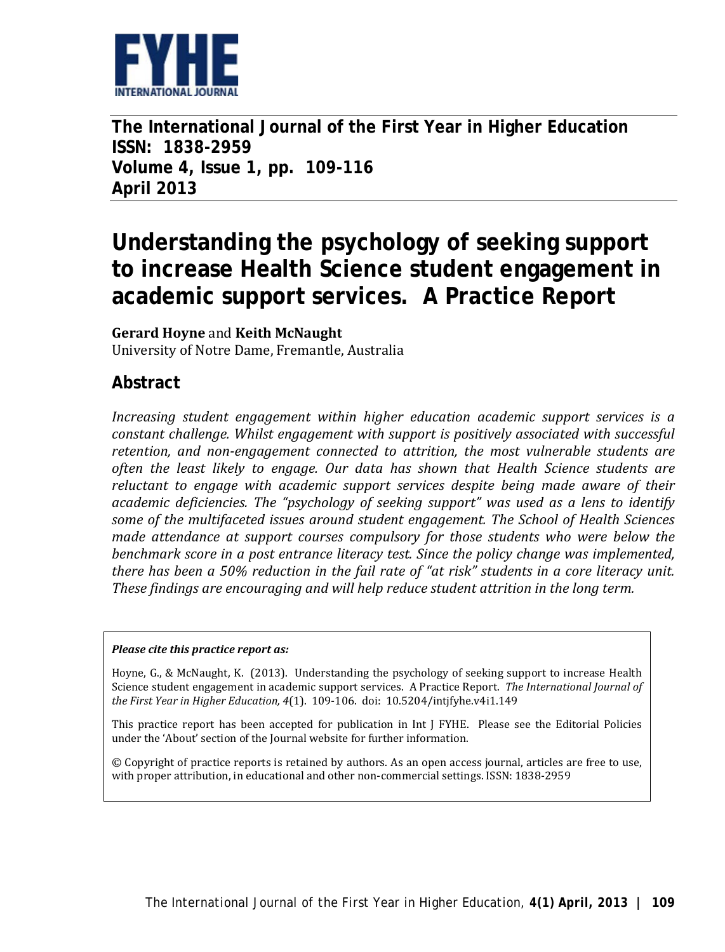

**The International Journal of the First Year in Higher Education ISSN: 1838-2959 Volume 4, Issue 1, pp. 109-116 April 2013**

# **Understanding the psychology of seeking support to increase Health Science student engagement in academic support services. A Practice Report**

#### **Gerard Hoyne** and **Keith McNaught**

University of Notre Dame, Fremantle, Australia

## **Abstract**

*Increasing student engagement within higher education academic support services is a constant challenge. Whilst engagement with support is positively associated with successful retention, and non-engagement connected to attrition, the most vulnerable students are often the least likely to engage. Our data has shown that Health Science students are reluctant to engage with academic support services despite being made aware of their academic deficiencies. The "psychology of seeking support" was used as a lens to identify some of the multifaceted issues around student engagement. The School of Health Sciences made attendance at support courses compulsory for those students who were below the benchmark score in a post entrance literacy test. Since the policy change was implemented, there has been a 50% reduction in the fail rate of "at risk" students in a core literacy unit. These findings are encouraging and will help reduce student attrition in the long term.*

#### *Please cite this practice report as:*

Hoyne, G., & McNaught, K. (2013). Understanding the psychology of seeking support to increase Health Science student engagement in academic support services. A Practice Report. *The International Journal of the First Year in Higher Education, 4*(1). 109-106. doi: 10.5204/intjfyhe.v4i1.149

This practice report has been accepted for publication in Int J FYHE. Please see the Editorial Policies under the 'About' section of the Journal website for further information.

© Copyright of practice reports is retained by authors. As an open access journal, articles are free to use, with proper attribution, in educational and other non-commercial settings. ISSN: 1838-2959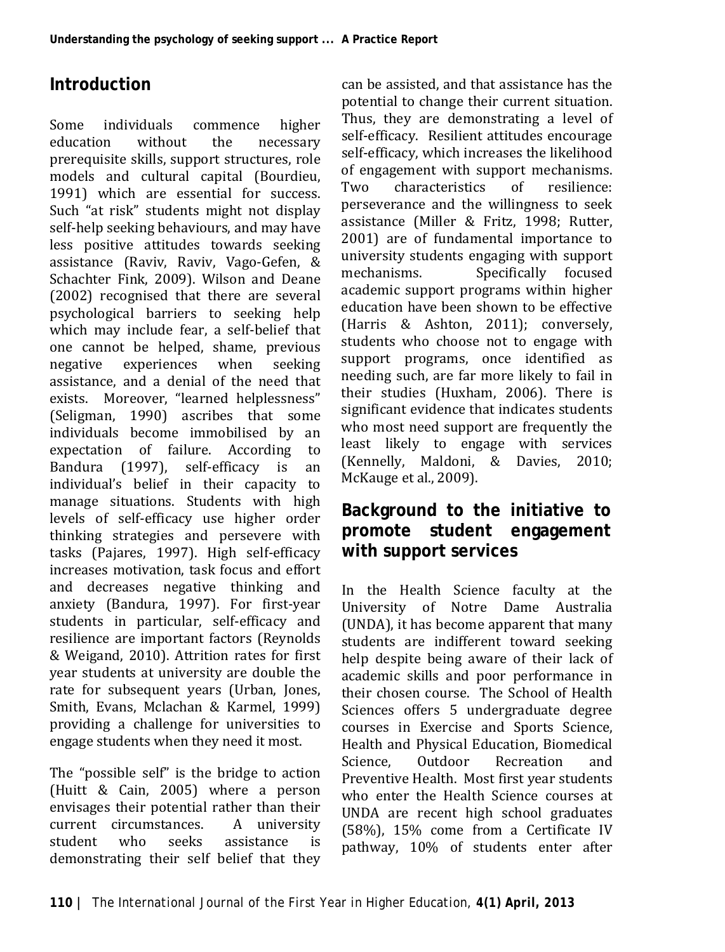## **Introduction**

Some individuals commence higher<br>education without the necessary education without the necessary prerequisite skills, support structures, role models and cultural capital [\(Bourdieu,](#page-7-0)  [1991\)](#page-7-0) which are essential for success. Such "at risk" students might not display self-help seeking behaviours, and may have less positive attitudes towards seeking assistance [\(Raviv, Raviv, Vago-Gefen, &](#page-8-0)  [Schachter Fink, 2009\)](#page-8-0). Wilson and Deane (2002) recognised that there are several psychological barriers to seeking help which may include fear, a self-belief that one cannot be helped, shame, previous<br>negative experiences when seeking negative experiences when seeking assistance, and a denial of the need that exists. Moreover, "learned helplessness" [\(Seligman, 1990\)](#page-8-1) ascribes that some individuals become immobilised by an expectation of failure. According to expectation of failure. According to<br>Bandura (1997), self-efficacy is an Bandura [\(1997\)](#page-7-1), self-efficacy is individual's belief in their capacity to manage situations. Students with high levels of self-efficacy use higher order thinking strategies and persevere with tasks [\(Pajares, 1997\)](#page-8-2). High self-efficacy increases motivation, task focus and effort and decreases negative thinking and anxiety [\(Bandura, 1997\)](#page-7-1). For first-year students in particular, self-efficacy and resilience are important factors [\(Reynolds](#page-8-3)  [& Weigand, 2010\)](#page-8-3). Attrition rates for first year students at university are double the rate for subsequent years (Urban, Jones, [Smith, Evans, Mclachan & Karmel, 1999\)](#page-8-4) providing a challenge for universities to engage students when they need it most.

The "possible self" is the bridge to action [\(Huitt & Cain, 2005\)](#page-7-2) where a person envisages their potential rather than their<br>current circumstances. A university current circumstances. A university<br>student who seeks assistance is student who seeks assistance is demonstrating their self belief that they

can be assisted, and that assistance has the potential to change their current situation. Thus, they are demonstrating a level of self-efficacy. Resilient attitudes encourage self-efficacy, which increases the likelihood of engagement with support mechanisms.<br>Two characteristics of resilience I wo characteristics of resilience: perseverance and the willingness to seek assistance [\(Miller & Fritz, 1998;](#page-8-5) [Rutter,](#page-8-6)  [2001\)](#page-8-6) are of fundamental importance to university students engaging with support<br>mechanisms. Specifically focused Specifically focused academic support programs within higher education have been shown to be effective [\(Harris & Ashton, 2011\)](#page-7-3); conversely, students who choose not to engage with support programs, once identified as needing such, are far more likely to fail in their studies [\(Huxham, 2006\)](#page-7-4). There is significant evidence that indicates students who most need support are frequently the least likely to engage with services [\(Kennelly, Maldoni, & Davies, 2010;](#page-7-5) [McKauge et al., 2009\)](#page-7-6).

### **Background to the initiative to promote student engagement with support services**

In the Health Science faculty at the University of Notre Dame Australia (UNDA), it has become apparent that many students are indifferent toward seeking help despite being aware of their lack of academic skills and poor performance in their chosen course. The School of Health Sciences offers 5 undergraduate degree courses in Exercise and Sports Science, Health and Physical Education, Biomedical **Recreation** Preventive Health. Most first year students who enter the Health Science courses at UNDA are recent high school graduates (58%), 15% come from a Certificate IV pathway, 10% of students enter after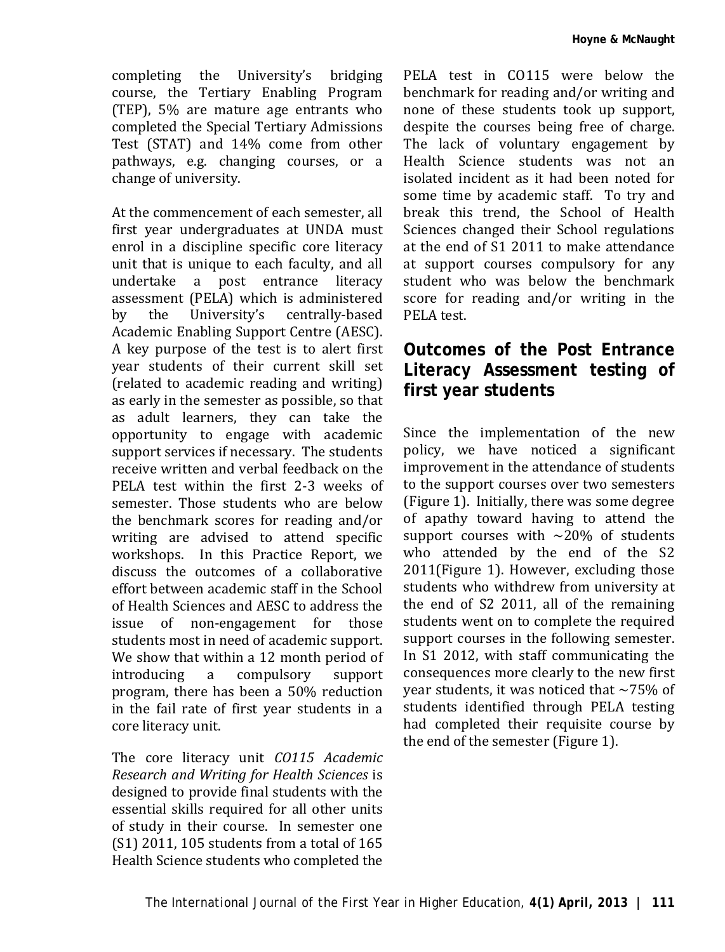completing the University's bridging course, the Tertiary Enabling Program (TEP), 5% are mature age entrants who completed the Special Tertiary Admissions Test (STAT) and 14% come from other pathways, e.g. changing courses, or a change of university.

At the commencement of each semester, all first year undergraduates at UNDA must enrol in a discipline specific core literacy unit that is unique to each faculty, and all undertake a post entrance literacy assessment (PELA) which is administered<br>by the University's centrally-based University's centrally-based Academic Enabling Support Centre (AESC). A key purpose of the test is to alert first year students of their current skill set (related to academic reading and writing) as early in the semester as possible, so that as adult learners, they can take the opportunity to engage with academic support services if necessary. The students receive written and verbal feedback on the PELA test within the first 2-3 weeks of semester. Those students who are below the benchmark scores for reading and/or writing are advised to attend specific workshops. In this Practice Report, we discuss the outcomes of a collaborative effort between academic staff in the School of Health Sciences and AESC to address the issue of non-engagement for those students most in need of academic support. We show that within a 12 month period of<br>introducing a compulsory support compulsory program, there has been a 50% reduction in the fail rate of first year students in a core literacy unit.

The core literacy unit *CO115 Academic Research and Writing for Health Sciences* is designed to provide final students with the essential skills required for all other units of study in their course. In semester one (S1) 2011, 105 students from a total of 165 Health Science students who completed the

PELA test in CO115 were below the benchmark for reading and/or writing and none of these students took up support, despite the courses being free of charge. The lack of voluntary engagement by Health Science students was not an isolated incident as it had been noted for some time by academic staff. To try and break this trend, the School of Health Sciences changed their School regulations at the end of S1 2011 to make attendance at support courses compulsory for any student who was below the benchmark score for reading and/or writing in the PELA test.

### **Outcomes of the Post Entrance Literacy Assessment testing of first year students**

Since the implementation of the new policy, we have noticed a significant improvement in the attendance of students to the support courses over two semesters (Figure 1). Initially, there was some degree of apathy toward having to attend the support courses with  $\sim$ 20% of students who attended by the end of the S2 2011(Figure 1). However, excluding those students who withdrew from university at the end of S2 2011, all of the remaining students went on to complete the required support courses in the following semester. In S1 2012, with staff communicating the consequences more clearly to the new first year students, it was noticed that  $\sim$ 75% of students identified through PELA testing had completed their requisite course by the end of the semester (Figure 1).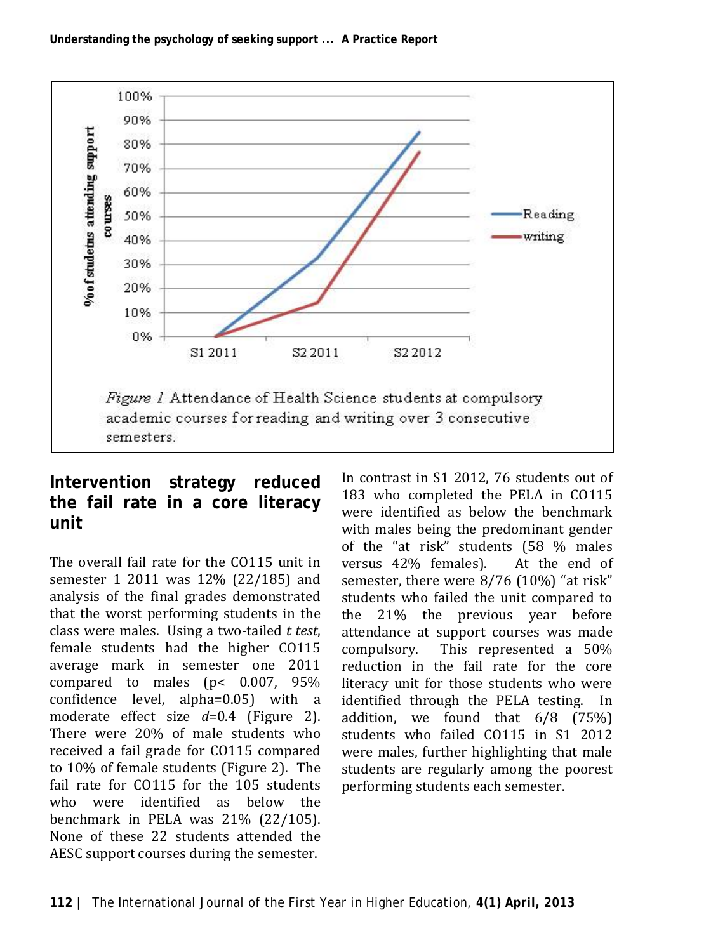

### **Intervention strategy reduced the fail rate in a core literacy unit**

The overall fail rate for the CO115 unit in semester 1 2011 was 12% (22/185) and analysis of the final grades demonstrated that the worst performing students in the class were males. Using a two-tailed *t test*, female students had the higher CO115 average mark in semester one 2011 compared to males (p< 0.007, 95% confidence level, alpha=0.05) with a moderate effect size *d*=0.4 (Figure 2). There were 20% of male students who received a fail grade for CO115 compared to 10% of female students (Figure 2). The fail rate for CO115 for the 105 students who were identified as below the benchmark in PELA was 21% (22/105). None of these 22 students attended the AESC support courses during the semester.

In contrast in S1 2012, 76 students out of 183 who completed the PELA in CO115 were identified as below the benchmark with males being the predominant gender of the "at risk" students (58 % males<br>versus 42% females). At the end of versus 42% females). semester, there were 8/76 (10%) "at risk" students who failed the unit compared to the 21% the previous year before attendance at support courses was made compulsory. This represented a 50% reduction in the fail rate for the core literacy unit for those students who were identified through the PELA testing. In addition, we found that 6/8 (75%) students who failed CO115 in S1 2012 were males, further highlighting that male students are regularly among the poorest performing students each semester.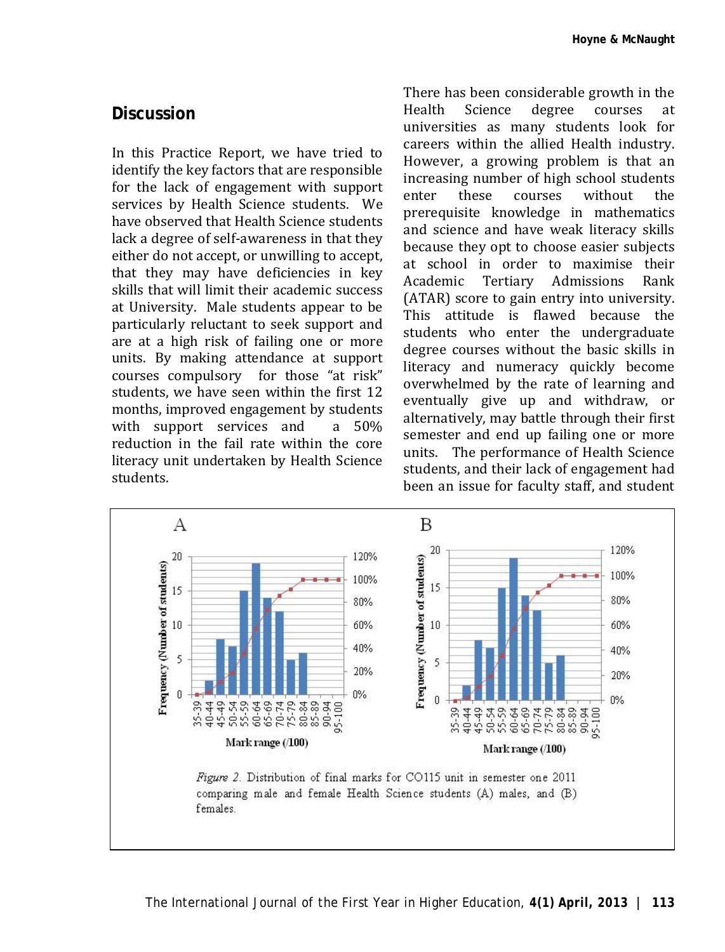#### **Discussion**

In this Practice Report, we have tried to identify the key factors that are responsible for the lack of engagement with support services by Health Science students. We have observed that Health Science students lack a degree of self-awareness in that they either do not accept, or unwilling to accept, that they may have deficiencies in key skills that will limit their academic success at University. Male students appear to be particularly reluctant to seek support and are at a high risk of failing one or more units. By making attendance at support courses compulsory for those "at risk" students, we have seen within the first 12 months, improved engagement by students<br>with support services and a 50% with support services and reduction in the fail rate within the core literacy unit undertaken by Health Science students.

There has been considerable growth in the<br>Health Science degree courses at Health Science degree courses at universities as many students look for careers within the allied Health industry. However, a growing problem is that an increasing number of high school students<br>enter these courses without the enter these courses without the prerequisite knowledge in mathematics and science and have weak literacy skills because they opt to choose easier subjects at school in order to maximise their Tertiary Admissions (ATAR) score to gain entry into university. This attitude is flawed because the students who enter the undergraduate degree courses without the basic skills in literacy and numeracy quickly become overwhelmed by the rate of learning and eventually give up and withdraw, or alternatively, may battle through their first semester and end up failing one or more units. The performance of Health Science students, and their lack of engagement had been an issue for faculty staff, and student

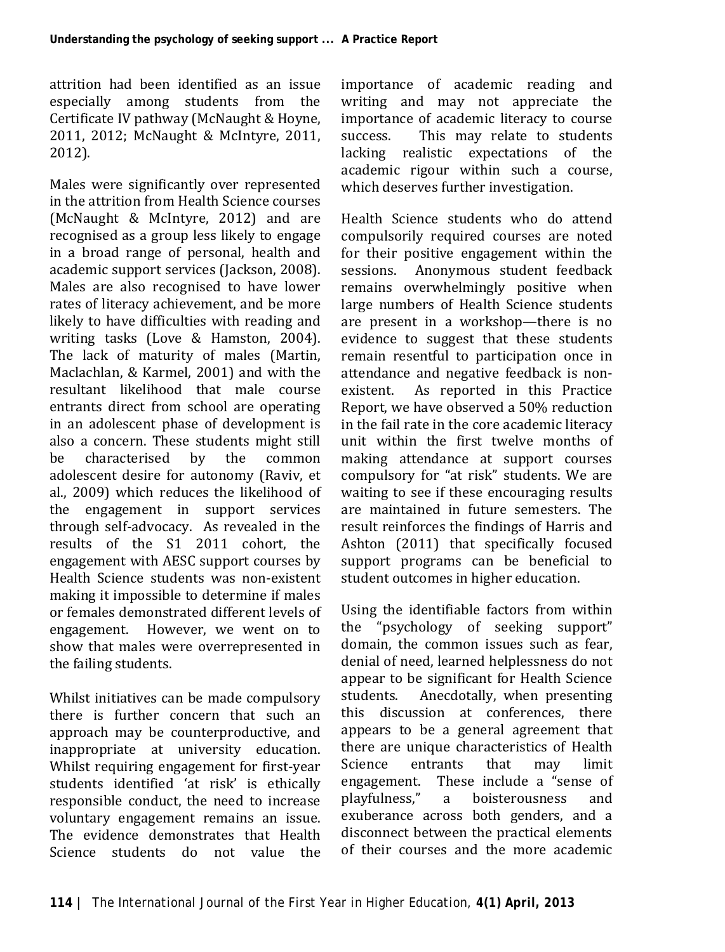attrition had been identified as an issue especially among students from the Certificate IV pathway [\(McNaught & Hoyne,](#page-7-7)  [2011,](#page-7-7) [2012;](#page-7-8) [McNaught & McIntyre, 2011,](#page-8-7)  [2012\)](#page-8-8).

Males were significantly over represented in the attrition from Health Science courses [\(McNaught & McIntyre, 2012\)](#page-8-8) and are recognised as a group less likely to engage in a broad range of personal, health and academic support services [\(Jackson, 2008\)](#page-7-9). Males are also recognised to have lower rates of literacy achievement, and be more likely to have difficulties with reading and writing tasks [\(Love & Hamston, 2004\)](#page-7-10). The lack of maturity of males [\(Martin,](#page-7-11)  [Maclachlan, & Karmel, 2001\)](#page-7-11) and with the resultant likelihood that male course entrants direct from school are operating in an adolescent phase of development is also a concern. These students might still characterised adolescent desire for autonomy [\(Raviv, et](#page-8-0)  [al., 2009\)](#page-8-0) which reduces the likelihood of the engagement in support services through self-advocacy. As revealed in the results of the S1 2011 cohort, the engagement with AESC support courses by Health Science students was non-existent making it impossible to determine if males or females demonstrated different levels of engagement. However, we went on to show that males were overrepresented in the failing students.

Whilst initiatives can be made compulsory there is further concern that such an approach may be counterproductive, and inappropriate at university education. Whilst requiring engagement for first-year students identified 'at risk' is ethically responsible conduct, the need to increase voluntary engagement remains an issue. The evidence demonstrates that Health Science students do not value the importance of academic reading and writing and may not appreciate the importance of academic literacy to course<br>success This may relate to students This may relate to students lacking realistic expectations of the academic rigour within such a course, which deserves further investigation.

Health Science students who do attend compulsorily required courses are noted for their positive engagement within the<br>sessions. Anonymous student feedback Anonymous student feedback remains overwhelmingly positive when large numbers of Health Science students are present in a workshop—there is no evidence to suggest that these students remain resentful to participation once in attendance and negative feedback is non-<br>existent. As reported in this Practice As reported in this Practice Report, we have observed a 50% reduction in the fail rate in the core academic literacy unit within the first twelve months of making attendance at support courses compulsory for "at risk" students. We are waiting to see if these encouraging results are maintained in future semesters. The result reinforces the findings of Harris and Ashton [\(2011\)](#page-7-3) that specifically focused support programs can be beneficial to student outcomes in higher education.

Using the identifiable factors from within<br>the "psychology of seeking support" "psychology of seeking support" domain, the common issues such as fear, denial of need, learned helplessness do not appear to be significant for Health Science<br>students. Anecdotally, when presenting Anecdotally, when presenting this discussion at conferences, there appears to be a general agreement that there are unique characteristics of Health Science entrants that may limit engagement. These include a "sense of playfulness," a boisterousness and exuberance across both genders, and a disconnect between the practical elements of their courses and the more academic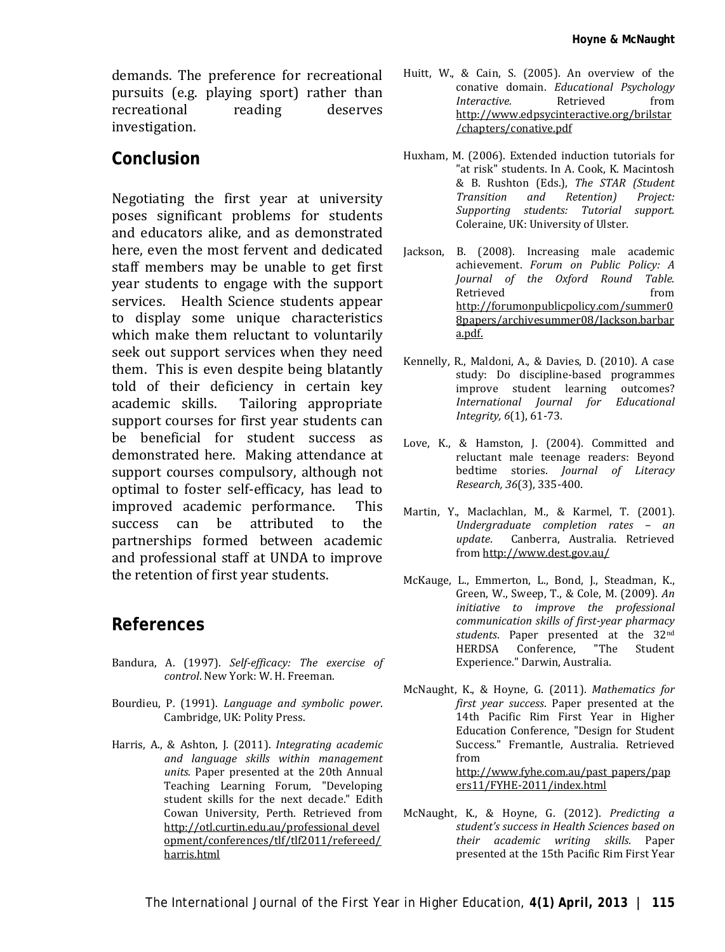demands. The preference for recreational pursuits (e.g. playing sport) rather than<br>recreational reading deserves recreational investigation.

#### **Conclusion**

Negotiating the first year at university poses significant problems for students and educators alike, and as demonstrated here, even the most fervent and dedicated staff members may be unable to get first year students to engage with the support services. Health Science students appear to display some unique characteristics which make them reluctant to voluntarily seek out support services when they need them. This is even despite being blatantly told of their deficiency in certain key<br>academic skills. Tailoring appropriate Tailoring appropriate support courses for first year students can be beneficial for student success as demonstrated here. Making attendance at support courses compulsory, although not optimal to foster self-efficacy, has lead to<br>improved academic performance This improved academic performance. This success can be attributed to the partnerships formed between academic and professional staff at UNDA to improve the retention of first year students.

#### **References**

- <span id="page-7-1"></span>Bandura, A. (1997). *Self-efficacy: The exercise of control*. New York: W. H. Freeman.
- <span id="page-7-0"></span>Bourdieu, P. (1991). *Language and symbolic power*. Cambridge, UK: Polity Press.
- <span id="page-7-3"></span>Harris, A., & Ashton, J. (2011). *Integrating academic and language skills within management units.* Paper presented at the 20th Annual Teaching Learning Forum, "Developing student skills for the next decade." Edith Cowan University, Perth. Retrieved from http://otl.curtin.edu.au/professional\_devel opment/conferences/tlf/tlf2011/refereed/ harris.html
- <span id="page-7-2"></span>Huitt, W., & Cain, S. (2005). An overview of the conative domain. *Educational Psychology Interactive.* Retrieved from [http://www.edpsycinteractive.org/brilstar](http://www.edpsycinteractive.org/brilstar/chapters/conative.pdf) [/chapters/conative.pdf](http://www.edpsycinteractive.org/brilstar/chapters/conative.pdf)
- <span id="page-7-4"></span>Huxham, M. (2006). Extended induction tutorials for "at risk" students. In A. Cook, K. Macintosh & B. Rushton (Eds.), *The STAR (Student Retention*) *Supporting students: Tutorial support.* Coleraine, UK: University of Ulster.
- <span id="page-7-9"></span>Jackson, B. (2008). Increasing male academic achievement. *Forum on Public Policy: A Journal of the Oxford Round Table*. Retrieved from http://forumonpublicpolicy.com/summer0 8papers/archivesummer08/Jackson.barbar a.pdf.
- <span id="page-7-5"></span>Kennelly, R., Maldoni, A., & Davies, D. (2010). A case study: Do discipline-based programmes improve student learning outcomes?<br>International lournal for Educational *International Journal for Integrity, 6*(1), 61-73.
- <span id="page-7-10"></span>Love, K., & Hamston, J. (2004). Committed and reluctant male teenage readers: Beyond bedtime stories. *Journal of Literacy Research, 36*(3), 335-400.
- <span id="page-7-11"></span>Martin, Y., Maclachlan, M., & Karmel, T. (2001). *Undergraduate completion rates – an update*. Canberra, Australia. Retrieved from http://www.dest.gov.au/
- <span id="page-7-6"></span>McKauge, L., Emmerton, L., Bond, J., Steadman, K., Green, W., Sweep, T., & Cole, M. (2009). *An initiative to improve the professional communication skills of first-year pharmacy students*. Paper presented at the 32nd HERDSA Conference, Experience." Darwin, Australia.
- <span id="page-7-7"></span>McNaught, K., & Hoyne, G. (2011). *Mathematics for first year success*. Paper presented at the 14th Pacific Rim First Year in Higher Education Conference, "Design for Student Success." Fremantle, Australia. Retrieved from [http://www.fyhe.com.au/past\\_papers/pap](http://www.fyhe.com.au/past_papers/papers11/FYHE-2011/index.html) [ers11/FYHE-2011/index.html](http://www.fyhe.com.au/past_papers/papers11/FYHE-2011/index.html)
- <span id="page-7-8"></span>McNaught, K., & Hoyne, G. (2012). *Predicting a student's success in Health Sciences based on their academic writing skills.* Paper presented at the 15th Pacific Rim First Year